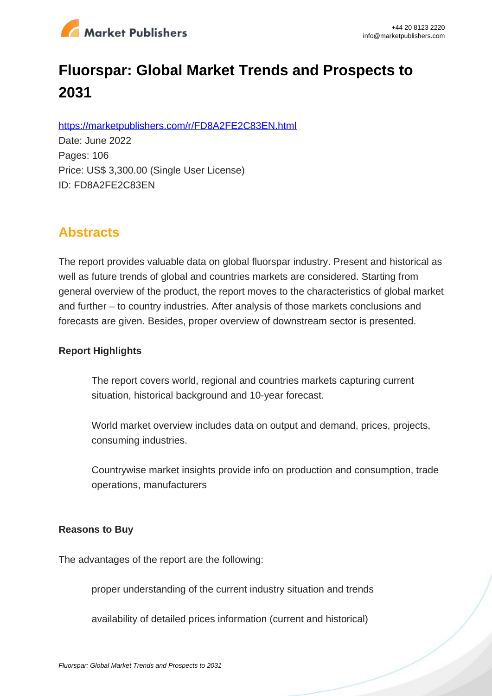

# **Fluorspar: Global Market Trends and Prospects to 2031**

https://marketpublishers.com/r/FD8A2FE2C83EN.html

Date: June 2022 Pages: 106 Price: US\$ 3,300.00 (Single User License) ID: FD8A2FE2C83EN

# **Abstracts**

The report provides valuable data on global fluorspar industry. Present and historical as well as future trends of global and countries markets are considered. Starting from general overview of the product, the report moves to the characteristics of global market and further – to country industries. After analysis of those markets conclusions and forecasts are given. Besides, proper overview of downstream sector is presented.

#### **Report Highlights**

The report covers world, regional and countries markets capturing current situation, historical background and 10-year forecast.

World market overview includes data on output and demand, prices, projects, consuming industries.

Countrywise market insights provide info on production and consumption, trade operations, manufacturers

#### **Reasons to Buy**

The advantages of the report are the following:

proper understanding of the current industry situation and trends

availability of detailed prices information (current and historical)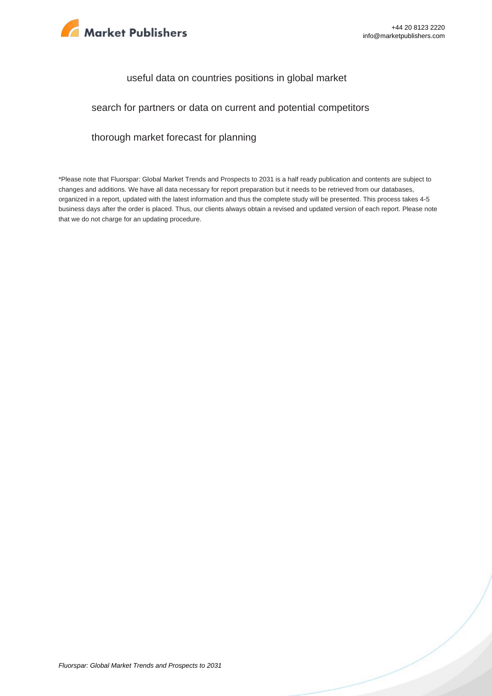

#### useful data on countries positions in global market

#### search for partners or data on current and potential competitors

#### thorough market forecast for planning

\*Please note that Fluorspar: Global Market Trends and Prospects to 2031 is a half ready publication and contents are subject to changes and additions. We have all data necessary for report preparation but it needs to be retrieved from our databases, organized in a report, updated with the latest information and thus the complete study will be presented. This process takes 4-5 business days after the order is placed. Thus, our clients always obtain a revised and updated version of each report. Please note that we do not charge for an updating procedure.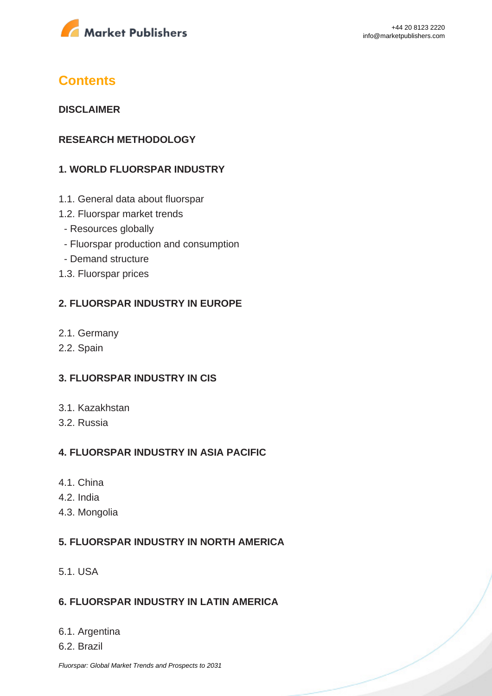

# **Contents**

#### **DISCLAIMER**

#### **RESEARCH METHODOLOGY**

### **1. WORLD FLUORSPAR INDUSTRY**

- 1.1. General data about fluorspar
- 1.2. Fluorspar market trends
	- Resources globally
	- Fluorspar production and consumption
	- Demand structure
- 1.3. Fluorspar prices

#### **2. FLUORSPAR INDUSTRY IN EUROPE**

- 2.1. Germany
- 2.2. Spain

#### **3. FLUORSPAR INDUSTRY IN CIS**

- 3.1. Kazakhstan
- 3.2. Russia

#### **4. FLUORSPAR INDUSTRY IN ASIA PACIFIC**

- 4.1. China
- 4.2. India
- 4.3. Mongolia

#### **5. FLUORSPAR INDUSTRY IN NORTH AMERICA**

5.1. USA

#### **6. FLUORSPAR INDUSTRY IN LATIN AMERICA**

#### 6.1. Argentina

6.2. Brazil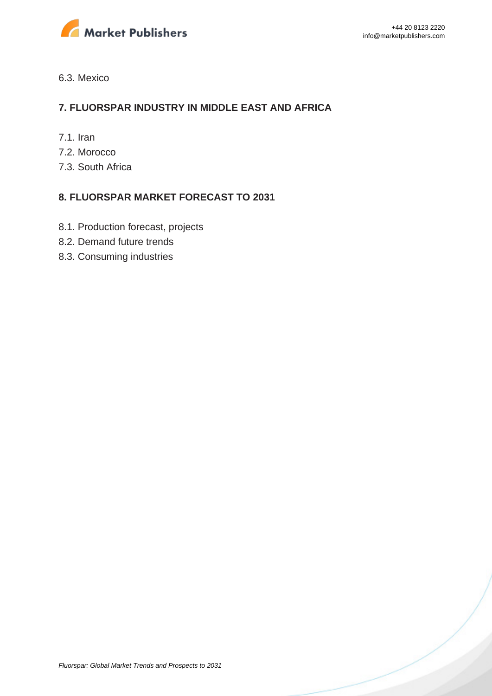

#### 6.3. Mexico

#### **7. FLUORSPAR INDUSTRY IN MIDDLE EAST AND AFRICA**

- 7.1. Iran
- 7.2. Morocco
- 7.3. South Africa

#### **8. FLUORSPAR MARKET FORECAST TO 2031**

- 8.1. Production forecast, projects
- 8.2. Demand future trends
- 8.3. Consuming industries